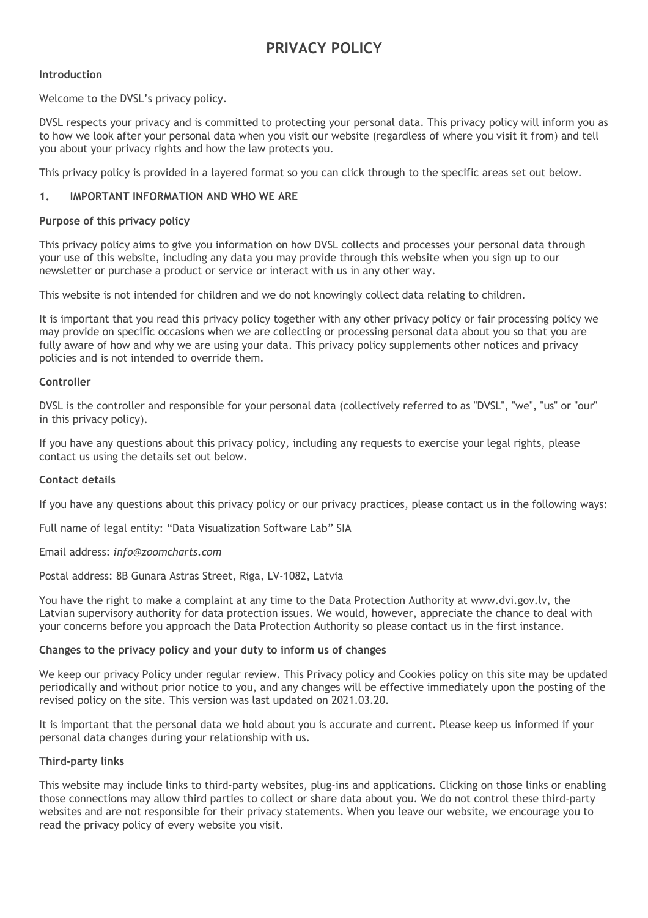# **PRIVACY POLICY**

# **Introduction**

Welcome to the DVSL's privacy policy.

DVSL respects your privacy and is committed to protecting your personal data. This privacy policy will inform you as to how we look after your personal data when you visit our website (regardless of where you visit it from) and tell you about your privacy rights and how the law protects you.

This privacy policy is provided in a layered format so you can click through to the specific areas set out below.

## **1. IMPORTANT INFORMATION AND WHO WE ARE**

## **Purpose of this privacy policy**

This privacy policy aims to give you information on how DVSL collects and processes your personal data through your use of this website, including any data you may provide through this website when you sign up to our newsletter or purchase a product or service or interact with us in any other way.

This website is not intended for children and we do not knowingly collect data relating to children.

It is important that you read this privacy policy together with any other privacy policy or fair processing policy we may provide on specific occasions when we are collecting or processing personal data about you so that you are fully aware of how and why we are using your data. This privacy policy supplements other notices and privacy policies and is not intended to override them.

## **Controller**

DVSL is the controller and responsible for your personal data (collectively referred to as "DVSL", "we", "us" or "our" in this privacy policy).

If you have any questions about this privacy policy, including any requests to exercise your legal rights, please contact us using the details set out below.

# **Contact details**

If you have any questions about this privacy policy or our privacy practices, please contact us in the following ways:

Full name of legal entity: "Data Visualization Software Lab" SIA

#### Email address: *info@zoomcharts.com*

Postal address: 8B Gunara Astras Street, Riga, LV-1082, Latvia

You have the right to make a complaint at any time to the Data Protection Authority at www.dvi.gov.lv, the Latvian supervisory authority for data protection issues. We would, however, appreciate the chance to deal with your concerns before you approach the Data Protection Authority so please contact us in the first instance.

#### **Changes to the privacy policy and your duty to inform us of changes**

We keep our privacy Policy under regular review. This Privacy policy and Cookies policy on this site may be updated periodically and without prior notice to you, and any changes will be effective immediately upon the posting of the revised policy on the site. This version was last updated on 2021.03.20.

It is important that the personal data we hold about you is accurate and current. Please keep us informed if your personal data changes during your relationship with us.

#### **Third-party links**

This website may include links to third-party websites, plug-ins and applications. Clicking on those links or enabling those connections may allow third parties to collect or share data about you. We do not control these third-party websites and are not responsible for their privacy statements. When you leave our website, we encourage you to read the privacy policy of every website you visit.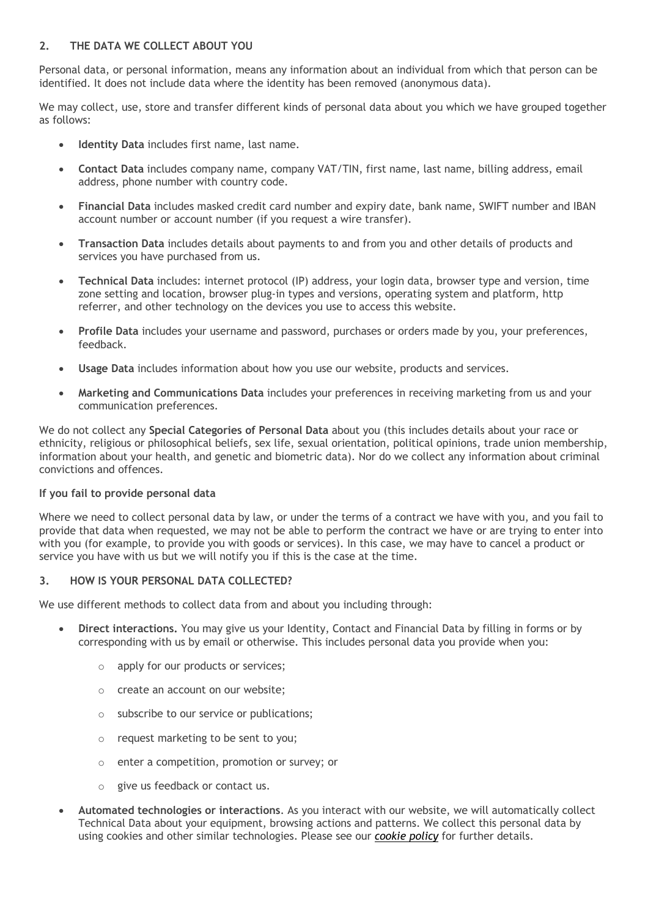# **2. THE DATA WE COLLECT ABOUT YOU**

Personal data, or personal information, means any information about an individual from which that person can be identified. It does not include data where the identity has been removed (anonymous data).

We may collect, use, store and transfer different kinds of personal data about you which we have grouped together as follows:

- **Identity Data** includes first name, last name.
- **Contact Data** includes company name, company VAT/TIN, first name, last name, billing address, email address, phone number with country code.
- **Financial Data** includes masked credit card number and expiry date, bank name, SWIFT number and IBAN account number or account number (if you request a wire transfer).
- **Transaction Data** includes details about payments to and from you and other details of products and services you have purchased from us.
- **Technical Data** includes: internet protocol (IP) address, your login data, browser type and version, time zone setting and location, browser plug-in types and versions, operating system and platform, http referrer, and other technology on the devices you use to access this website.
- **Profile Data** includes your username and password, purchases or orders made by you, your preferences, feedback.
- **Usage Data** includes information about how you use our website, products and services.
- **Marketing and Communications Data** includes your preferences in receiving marketing from us and your communication preferences.

We do not collect any **Special Categories of Personal Data** about you (this includes details about your race or ethnicity, religious or philosophical beliefs, sex life, sexual orientation, political opinions, trade union membership, information about your health, and genetic and biometric data). Nor do we collect any information about criminal convictions and offences.

# **If you fail to provide personal data**

Where we need to collect personal data by law, or under the terms of a contract we have with you, and you fail to provide that data when requested, we may not be able to perform the contract we have or are trying to enter into with you (for example, to provide you with goods or services). In this case, we may have to cancel a product or service you have with us but we will notify you if this is the case at the time.

# **3. HOW IS YOUR PERSONAL DATA COLLECTED?**

We use different methods to collect data from and about you including through:

- **Direct interactions.** You may give us your Identity, Contact and Financial Data by filling in forms or by corresponding with us by email or otherwise. This includes personal data you provide when you:
	- o apply for our products or services;
	- o create an account on our website;
	- o subscribe to our service or publications;
	- o request marketing to be sent to you;
	- o enter a competition, promotion or survey; or
	- o give us feedback or contact us.
- **Automated technologies or interactions**. As you interact with our website, we will automatically collect Technical Data about your equipment, browsing actions and patterns. We collect this personal data by using cookies and other similar technologies. Please see our *cookie policy* for further details.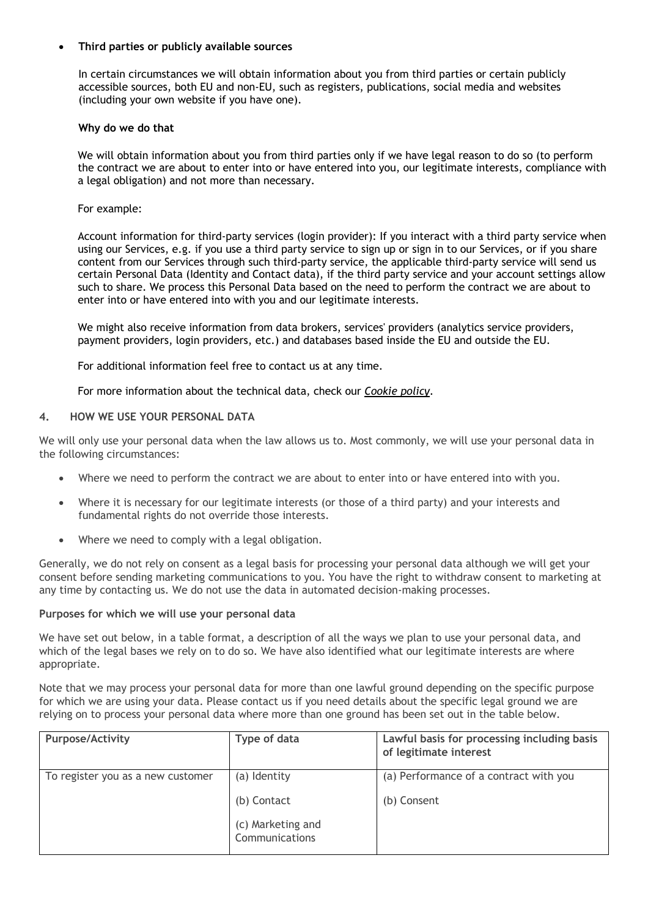# • **Third parties or publicly available sources**

In certain circumstances we will obtain information about you from third parties or certain publicly accessible sources, both EU and non-EU, such as registers, publications, social media and websites (including your own website if you have one).

## **Why do we do that**

We will obtain information about you from third parties only if we have legal reason to do so (to perform the contract we are about to enter into or have entered into you, our legitimate interests, compliance with a legal obligation) and not more than necessary.

## For example:

Account information for third-party services (login provider): If you interact with a third party service when using our Services, e.g. if you use a third party service to sign up or sign in to our Services, or if you share content from our Services through such third-party service, the applicable third-party service will send us certain Personal Data (Identity and Contact data), if the third party service and your account settings allow such to share. We process this Personal Data based on the need to perform the contract we are about to enter into or have entered into with you and our legitimate interests.

We might also receive information from data brokers, services' providers (analytics service providers, payment providers, login providers, etc.) and databases based inside the EU and outside the EU.

For additional information feel free to contact us at any time.

For more information about the technical data, check our *Cookie policy*.

## **4. HOW WE USE YOUR PERSONAL DATA**

We will only use your personal data when the law allows us to. Most commonly, we will use your personal data in the following circumstances:

- Where we need to perform the contract we are about to enter into or have entered into with you.
- Where it is necessary for our legitimate interests (or those of a third party) and your interests and fundamental rights do not override those interests.
- Where we need to comply with a legal obligation.

Generally, we do not rely on consent as a legal basis for processing your personal data although we will get your consent before sending marketing communications to you. You have the right to withdraw consent to marketing at any time by contacting us. We do not use the data in automated decision-making processes.

#### **Purposes for which we will use your personal data**

We have set out below, in a table format, a description of all the ways we plan to use your personal data, and which of the legal bases we rely on to do so. We have also identified what our legitimate interests are where appropriate.

Note that we may process your personal data for more than one lawful ground depending on the specific purpose for which we are using your data. Please contact us if you need details about the specific legal ground we are relying on to process your personal data where more than one ground has been set out in the table below.

| <b>Purpose/Activity</b>           | Type of data                        | Lawful basis for processing including basis<br>of legitimate interest |
|-----------------------------------|-------------------------------------|-----------------------------------------------------------------------|
| To register you as a new customer | (a) Identity<br>(b) Contact         | (a) Performance of a contract with you<br>(b) Consent                 |
|                                   | (c) Marketing and<br>Communications |                                                                       |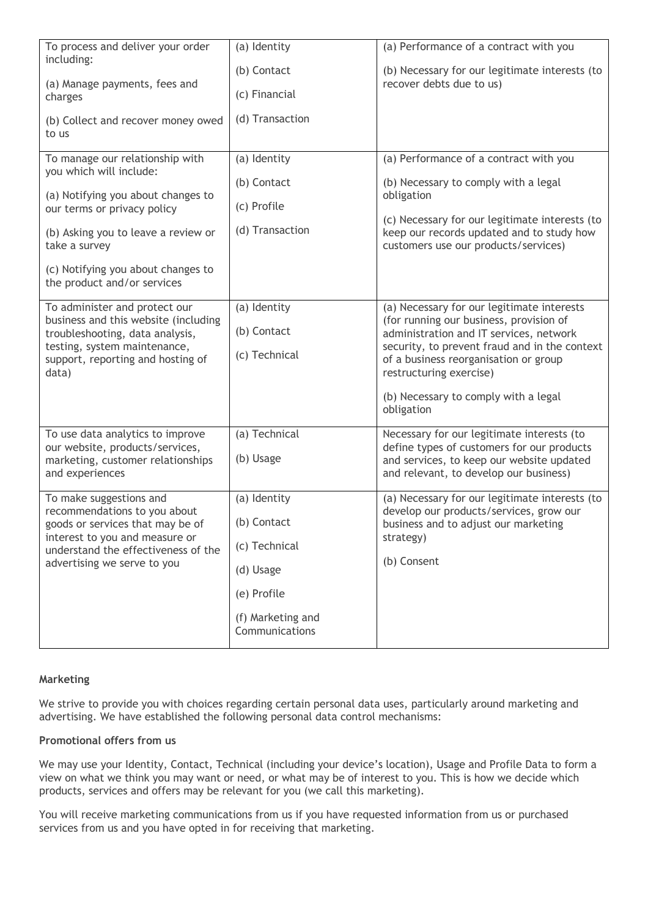| To process and deliver your order<br>including:                                                                                                                                                                                                              | (a) Identity                                                                                                    | (a) Performance of a contract with you                                                                                                                                                                                                                                                                      |
|--------------------------------------------------------------------------------------------------------------------------------------------------------------------------------------------------------------------------------------------------------------|-----------------------------------------------------------------------------------------------------------------|-------------------------------------------------------------------------------------------------------------------------------------------------------------------------------------------------------------------------------------------------------------------------------------------------------------|
| (a) Manage payments, fees and<br>charges                                                                                                                                                                                                                     | (b) Contact<br>(c) Financial                                                                                    | (b) Necessary for our legitimate interests (to<br>recover debts due to us)                                                                                                                                                                                                                                  |
| (b) Collect and recover money owed<br>to us                                                                                                                                                                                                                  | (d) Transaction                                                                                                 |                                                                                                                                                                                                                                                                                                             |
| To manage our relationship with<br>you which will include:<br>(a) Notifying you about changes to<br>our terms or privacy policy<br>(b) Asking you to leave a review or<br>take a survey<br>(c) Notifying you about changes to<br>the product and/or services | (a) Identity<br>(b) Contact<br>(c) Profile<br>(d) Transaction                                                   | (a) Performance of a contract with you<br>(b) Necessary to comply with a legal<br>obligation<br>(c) Necessary for our legitimate interests (to<br>keep our records updated and to study how<br>customers use our products/services)                                                                         |
| To administer and protect our<br>business and this website (including<br>troubleshooting, data analysis,<br>testing, system maintenance,<br>support, reporting and hosting of<br>data)                                                                       | (a) Identity<br>(b) Contact<br>(c) Technical                                                                    | (a) Necessary for our legitimate interests<br>(for running our business, provision of<br>administration and IT services, network<br>security, to prevent fraud and in the context<br>of a business reorganisation or group<br>restructuring exercise)<br>(b) Necessary to comply with a legal<br>obligation |
| To use data analytics to improve<br>our website, products/services,<br>marketing, customer relationships<br>and experiences                                                                                                                                  | (a) Technical<br>(b) Usage                                                                                      | Necessary for our legitimate interests (to<br>define types of customers for our products<br>and services, to keep our website updated<br>and relevant, to develop our business)                                                                                                                             |
| To make suggestions and<br>recommendations to you about<br>goods or services that may be of<br>interest to you and measure or<br>understand the effectiveness of the<br>advertising we serve to you                                                          | (a) Identity<br>(b) Contact<br>(c) Technical<br>(d) Usage<br>(e) Profile<br>(f) Marketing and<br>Communications | (a) Necessary for our legitimate interests (to<br>develop our products/services, grow our<br>business and to adjust our marketing<br>strategy)<br>(b) Consent                                                                                                                                               |

# **Marketing**

We strive to provide you with choices regarding certain personal data uses, particularly around marketing and advertising. We have established the following personal data control mechanisms:

#### **Promotional offers from us**

We may use your Identity, Contact, Technical (including your device's location), Usage and Profile Data to form a view on what we think you may want or need, or what may be of interest to you. This is how we decide which products, services and offers may be relevant for you (we call this marketing).

You will receive marketing communications from us if you have requested information from us or purchased services from us and you have opted in for receiving that marketing.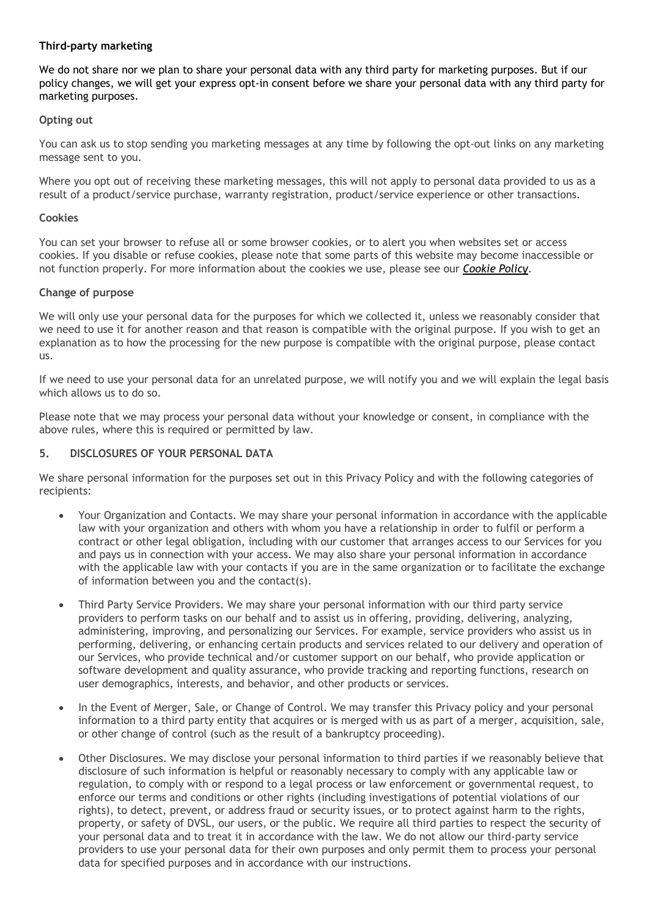# **Third-party marketing**

We do not share nor we plan to share your personal data with any third party for marketing purposes. But if our policy changes, we will get your express opt-in consent before we share your personal data with any third party for marketing purposes.

## **Opting out**

You can ask us to stop sending you marketing messages at any time by following the opt-out links on any marketing message sent to you.

Where you opt out of receiving these marketing messages, this will not apply to personal data provided to us as a result of a product/service purchase, warranty registration, product/service experience or other transactions.

#### **Cookies**

You can set your browser to refuse all or some browser cookies, or to alert you when websites set or access cookies. If you disable or refuse cookies, please note that some parts of this website may become inaccessible or not function properly. For more information about the cookies we use, please see our *Cookie Policy*.

## **Change of purpose**

We will only use your personal data for the purposes for which we collected it, unless we reasonably consider that we need to use it for another reason and that reason is compatible with the original purpose. If you wish to get an explanation as to how the processing for the new purpose is compatible with the original purpose, please contact us.

If we need to use your personal data for an unrelated purpose, we will notify you and we will explain the legal basis which allows us to do so.

Please note that we may process your personal data without your knowledge or consent, in compliance with the above rules, where this is required or permitted by law.

## **5. DISCLOSURES OF YOUR PERSONAL DATA**

We share personal information for the purposes set out in this Privacy Policy and with the following categories of recipients:

- Your Organization and Contacts. We may share your personal information in accordance with the applicable law with your organization and others with whom you have a relationship in order to fulfil or perform a contract or other legal obligation, including with our customer that arranges access to our Services for you and pays us in connection with your access. We may also share your personal information in accordance with the applicable law with your contacts if you are in the same organization or to facilitate the exchange of information between you and the contact(s).
- Third Party Service Providers. We may share your personal information with our third party service providers to perform tasks on our behalf and to assist us in offering, providing, delivering, analyzing, administering, improving, and personalizing our Services. For example, service providers who assist us in performing, delivering, or enhancing certain products and services related to our delivery and operation of our Services, who provide technical and/or customer support on our behalf, who provide application or software development and quality assurance, who provide tracking and reporting functions, research on user demographics, interests, and behavior, and other products or services.
- In the Event of Merger, Sale, or Change of Control. We may transfer this Privacy policy and your personal information to a third party entity that acquires or is merged with us as part of a merger, acquisition, sale, or other change of control (such as the result of a bankruptcy proceeding).
- Other Disclosures. We may disclose your personal information to third parties if we reasonably believe that disclosure of such information is helpful or reasonably necessary to comply with any applicable law or regulation, to comply with or respond to a legal process or law enforcement or governmental request, to enforce our terms and conditions or other rights (including investigations of potential violations of our rights), to detect, prevent, or address fraud or security issues, or to protect against harm to the rights, property, or safety of DVSL, our users, or the public. We require all third parties to respect the security of your personal data and to treat it in accordance with the law. We do not allow our third-party service providers to use your personal data for their own purposes and only permit them to process your personal data for specified purposes and in accordance with our instructions.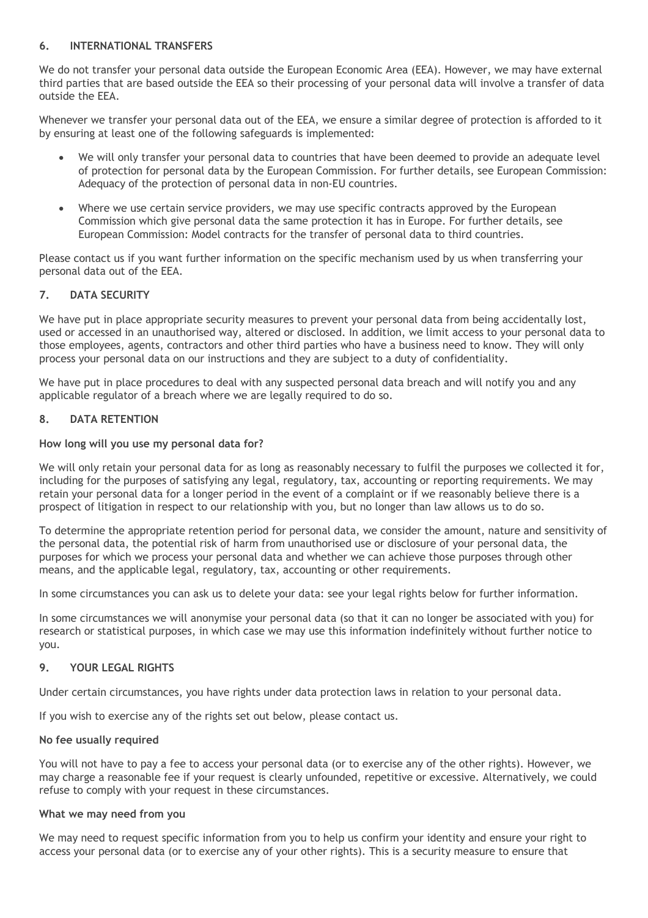# **6. INTERNATIONAL TRANSFERS**

We do not transfer your personal data outside the European Economic Area (EEA). However, we may have external third parties that are based outside the EEA so their processing of your personal data will involve a transfer of data outside the EEA.

Whenever we transfer your personal data out of the EEA, we ensure a similar degree of protection is afforded to it by ensuring at least one of the following safeguards is implemented:

- We will only transfer your personal data to countries that have been deemed to provide an adequate level of protection for personal data by the European Commission. For further details, see European Commission: Adequacy of the protection of personal data in non-EU countries.
- Where we use certain service providers, we may use specific contracts approved by the European Commission which give personal data the same protection it has in Europe. For further details, see European Commission: Model contracts for the transfer of personal data to third countries.

Please contact us if you want further information on the specific mechanism used by us when transferring your personal data out of the EEA.

# **7. DATA SECURITY**

We have put in place appropriate security measures to prevent your personal data from being accidentally lost, used or accessed in an unauthorised way, altered or disclosed. In addition, we limit access to your personal data to those employees, agents, contractors and other third parties who have a business need to know. They will only process your personal data on our instructions and they are subject to a duty of confidentiality.

We have put in place procedures to deal with any suspected personal data breach and will notify you and any applicable regulator of a breach where we are legally required to do so.

# **8. DATA RETENTION**

# **How long will you use my personal data for?**

We will only retain your personal data for as long as reasonably necessary to fulfil the purposes we collected it for, including for the purposes of satisfying any legal, regulatory, tax, accounting or reporting requirements. We may retain your personal data for a longer period in the event of a complaint or if we reasonably believe there is a prospect of litigation in respect to our relationship with you, but no longer than law allows us to do so.

To determine the appropriate retention period for personal data, we consider the amount, nature and sensitivity of the personal data, the potential risk of harm from unauthorised use or disclosure of your personal data, the purposes for which we process your personal data and whether we can achieve those purposes through other means, and the applicable legal, regulatory, tax, accounting or other requirements.

In some circumstances you can ask us to delete your data: see your legal rights below for further information.

In some circumstances we will anonymise your personal data (so that it can no longer be associated with you) for research or statistical purposes, in which case we may use this information indefinitely without further notice to you.

# **9. YOUR LEGAL RIGHTS**

Under certain circumstances, you have rights under data protection laws in relation to your personal data.

If you wish to exercise any of the rights set out below, please contact us.

# **No fee usually required**

You will not have to pay a fee to access your personal data (or to exercise any of the other rights). However, we may charge a reasonable fee if your request is clearly unfounded, repetitive or excessive. Alternatively, we could refuse to comply with your request in these circumstances.

# **What we may need from you**

We may need to request specific information from you to help us confirm your identity and ensure your right to access your personal data (or to exercise any of your other rights). This is a security measure to ensure that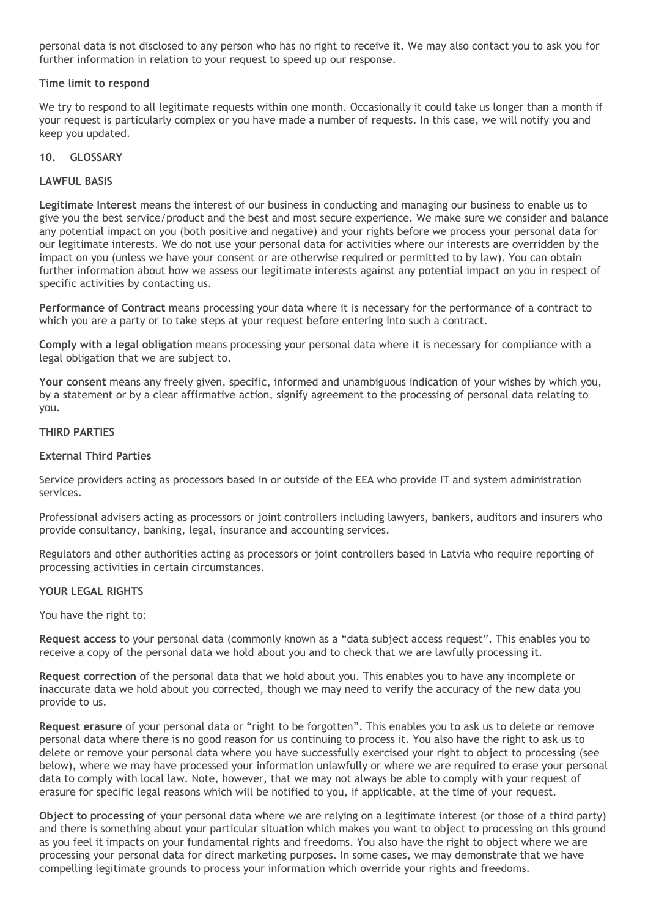personal data is not disclosed to any person who has no right to receive it. We may also contact you to ask you for further information in relation to your request to speed up our response.

## **Time limit to respond**

We try to respond to all legitimate requests within one month. Occasionally it could take us longer than a month if your request is particularly complex or you have made a number of requests. In this case, we will notify you and keep you updated.

## **10. GLOSSARY**

## **LAWFUL BASIS**

**Legitimate Interest** means the interest of our business in conducting and managing our business to enable us to give you the best service/product and the best and most secure experience. We make sure we consider and balance any potential impact on you (both positive and negative) and your rights before we process your personal data for our legitimate interests. We do not use your personal data for activities where our interests are overridden by the impact on you (unless we have your consent or are otherwise required or permitted to by law). You can obtain further information about how we assess our legitimate interests against any potential impact on you in respect of specific activities by contacting us.

**Performance of Contract** means processing your data where it is necessary for the performance of a contract to which you are a party or to take steps at your request before entering into such a contract.

**Comply with a legal obligation** means processing your personal data where it is necessary for compliance with a legal obligation that we are subject to.

**Your consent** means any freely given, specific, informed and unambiguous indication of your wishes by which you, by a statement or by a clear affirmative action, signify agreement to the processing of personal data relating to you.

#### **THIRD PARTIES**

## **External Third Parties**

Service providers acting as processors based in or outside of the EEA who provide IT and system administration services.

Professional advisers acting as processors or joint controllers including lawyers, bankers, auditors and insurers who provide consultancy, banking, legal, insurance and accounting services.

Regulators and other authorities acting as processors or joint controllers based in Latvia who require reporting of processing activities in certain circumstances.

#### **YOUR LEGAL RIGHTS**

You have the right to:

**Request access** to your personal data (commonly known as a "data subject access request". This enables you to receive a copy of the personal data we hold about you and to check that we are lawfully processing it.

**Request correction** of the personal data that we hold about you. This enables you to have any incomplete or inaccurate data we hold about you corrected, though we may need to verify the accuracy of the new data you provide to us.

**Request erasure** of your personal data or "right to be forgotten". This enables you to ask us to delete or remove personal data where there is no good reason for us continuing to process it. You also have the right to ask us to delete or remove your personal data where you have successfully exercised your right to object to processing (see below), where we may have processed your information unlawfully or where we are required to erase your personal data to comply with local law. Note, however, that we may not always be able to comply with your request of erasure for specific legal reasons which will be notified to you, if applicable, at the time of your request.

**Object to processing** of your personal data where we are relying on a legitimate interest (or those of a third party) and there is something about your particular situation which makes you want to object to processing on this ground as you feel it impacts on your fundamental rights and freedoms. You also have the right to object where we are processing your personal data for direct marketing purposes. In some cases, we may demonstrate that we have compelling legitimate grounds to process your information which override your rights and freedoms.